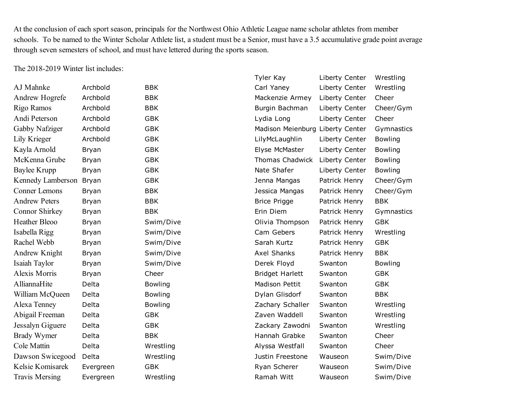At the conclusion of each sport season, principals for the Northwest Ohio Athletic League name scholar athletes from member schools. To be named to the Winter Scholar Athlete list, a student must be a Senior, must have a 3.5 accumulative grade point average through seven semesters of school, and must have lettered during the sports season.

The 2018-2019 Winter list includes:

|                       |              |                | Tyler Kay                        | Liberty Center | Wrestling      |
|-----------------------|--------------|----------------|----------------------------------|----------------|----------------|
| AJ Mahnke             | Archbold     | <b>BBK</b>     | Carl Yaney                       | Liberty Center | Wrestling      |
| Andrew Hogrefe        | Archbold     | <b>BBK</b>     | Mackenzie Armey                  | Liberty Center | Cheer          |
| Rigo Ramos            | Archbold     | <b>BBK</b>     | Burgin Bachman                   | Liberty Center | Cheer/Gym      |
| Andi Peterson         | Archbold     | <b>GBK</b>     | Lydia Long                       | Liberty Center | Cheer          |
| Gabby Nafziger        | Archbold     | <b>GBK</b>     | Madison Meienburg Liberty Center |                | Gymnastics     |
| Lily Krieger          | Archbold     | <b>GBK</b>     | LilyMcLaughlin                   | Liberty Center | <b>Bowling</b> |
| Kayla Arnold          | Bryan        | <b>GBK</b>     | Elyse McMaster                   | Liberty Center | <b>Bowling</b> |
| McKenna Grube         | Bryan        | <b>GBK</b>     | Thomas Chadwick                  | Liberty Center | <b>Bowling</b> |
| <b>Baylee Krupp</b>   | Bryan        | <b>GBK</b>     | Nate Shafer                      | Liberty Center | <b>Bowling</b> |
| Kennedy Lamberson     | Bryan        | <b>GBK</b>     | Jenna Mangas                     | Patrick Henry  | Cheer/Gym      |
| <b>Conner Lemons</b>  | Bryan        | <b>BBK</b>     | Jessica Mangas                   | Patrick Henry  | Cheer/Gym      |
| <b>Andrew Peters</b>  | <b>Bryan</b> | <b>BBK</b>     | <b>Brice Prigge</b>              | Patrick Henry  | <b>BBK</b>     |
| Connor Shirkey        | <b>Bryan</b> | <b>BBK</b>     | Erin Diem                        | Patrick Henry  | Gymnastics     |
| <b>Heather Bleoo</b>  | <b>Bryan</b> | Swim/Dive      | Olivia Thompson                  | Patrick Henry  | <b>GBK</b>     |
| Isabella Rigg         | Bryan        | Swim/Dive      | Cam Gebers                       | Patrick Henry  | Wrestling      |
| Rachel Webb           | <b>Bryan</b> | Swim/Dive      | Sarah Kurtz                      | Patrick Henry  | <b>GBK</b>     |
| Andrew Knight         | Bryan        | Swim/Dive      | Axel Shanks                      | Patrick Henry  | <b>BBK</b>     |
| Isaiah Taylor         | <b>Bryan</b> | Swim/Dive      | Derek Floyd                      | Swanton        | <b>Bowling</b> |
| Alexis Morris         | Bryan        | Cheer          | <b>Bridget Harlett</b>           | Swanton        | <b>GBK</b>     |
| AlliannaHite          | Delta        | <b>Bowling</b> | <b>Madison Pettit</b>            | Swanton        | <b>GBK</b>     |
| William McQueen       | Delta        | <b>Bowling</b> | Dylan Glisdorf                   | Swanton        | <b>BBK</b>     |
| Alexa Tenney          | Delta        | <b>Bowling</b> | Zachary Schaller                 | Swanton        | Wrestling      |
| Abigail Freeman       | Delta        | <b>GBK</b>     | Zaven Waddell                    | Swanton        | Wrestling      |
| Jessalyn Giguere      | Delta        | <b>GBK</b>     | Zackary Zawodni                  | Swanton        | Wrestling      |
| <b>Brady Wymer</b>    | Delta        | <b>BBK</b>     | Hannah Grabke                    | Swanton        | Cheer          |
| Cole Mattin           | Delta        | Wrestling      | Alyssa Westfall                  | Swanton        | Cheer          |
| Dawson Swicegood      | Delta        | Wrestling      | Justin Freestone                 | Wauseon        | Swim/Dive      |
| Kelsie Komisarek      | Evergreen    | <b>GBK</b>     | Ryan Scherer                     | Wauseon        | Swim/Dive      |
| <b>Travis Mersing</b> | Evergreen    | Wrestling      | Ramah Witt                       | Wauseon        | Swim/Dive      |